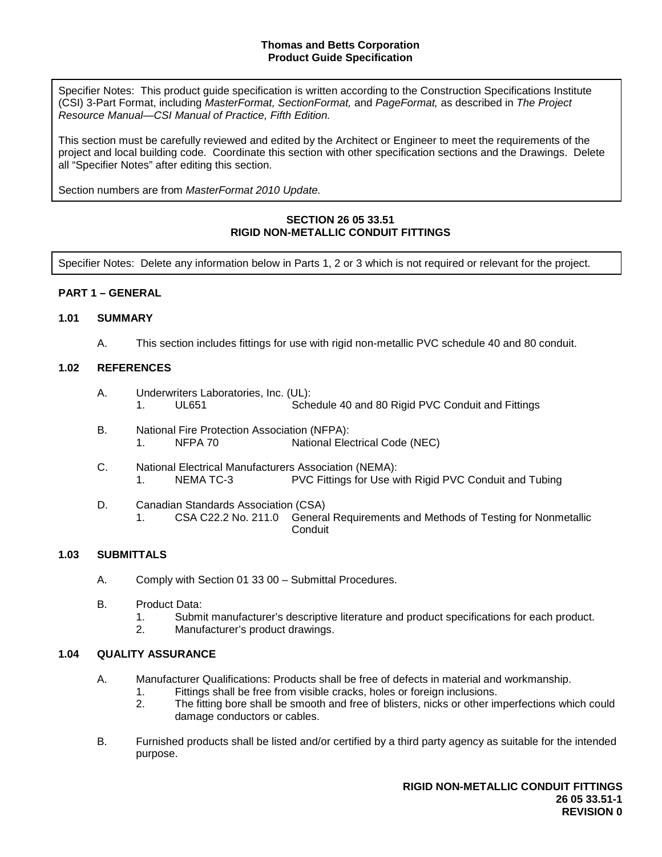Specifier Notes: This product guide specification is written according to the Construction Specifications Institute (CSI) 3-Part Format, including *MasterFormat, SectionFormat,* and *PageFormat,* as described in *The Project Resource Manual—CSI Manual of Practice, Fifth Edition.*

This section must be carefully reviewed and edited by the Architect or Engineer to meet the requirements of the project and local building code. Coordinate this section with other specification sections and the Drawings. Delete all "Specifier Notes" after editing this section.

Section numbers are from *MasterFormat 2010 Update.*

# **SECTION 26 05 33.51 RIGID NON-METALLIC CONDUIT FITTINGS**

Specifier Notes: Delete any information below in Parts 1, 2 or 3 which is not required or relevant for the project.

# **PART 1 – GENERAL**

#### **1.01 SUMMARY**

A. This section includes fittings for use with rigid non-metallic PVC schedule 40 and 80 conduit.

#### **1.02 REFERENCES**

- A. Underwriters Laboratories, Inc. (UL): 1. UL651 Schedule 40 and 80 Rigid PVC Conduit and Fittings
- B. National Fire Protection Association (NFPA): 1. NFPA 70 National Electrical Code (NEC)
- C. National Electrical Manufacturers Association (NEMA): 1. NEMA TC-3 PVC Fittings for Use with Rigid PVC Conduit and Tubing
- D. Canadian Standards Association (CSA) 1. CSA C22.2 No. 211.0 General Requirements and Methods of Testing for Nonmetallic Conduit

### **1.03 SUBMITTALS**

- A. Comply with Section 01 33 00 Submittal Procedures.
- B. Product Data:
	- 1. Submit manufacturer's descriptive literature and product specifications for each product.
	- 2. Manufacturer's product drawings.

# **1.04 QUALITY ASSURANCE**

- A. Manufacturer Qualifications: Products shall be free of defects in material and workmanship.
	- 1. Fittings shall be free from visible cracks, holes or foreign inclusions.<br>2. The fitting bore shall be smooth and free of blisters, nicks or other in
	- 2. The fitting bore shall be smooth and free of blisters, nicks or other imperfections which could damage conductors or cables.
- B. Furnished products shall be listed and/or certified by a third party agency as suitable for the intended purpose.